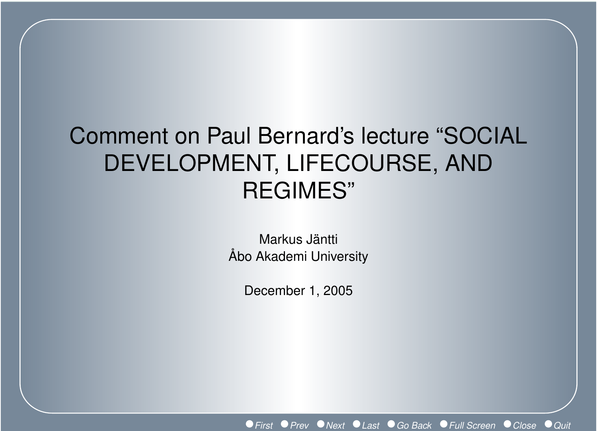# Comment on Paul Bernard's lecture "SOCIAL DEVELOPMENT, LIFECOURSE, AND REGIMES"

Markus Jäntti Åbo Akademi University

December 1, 2005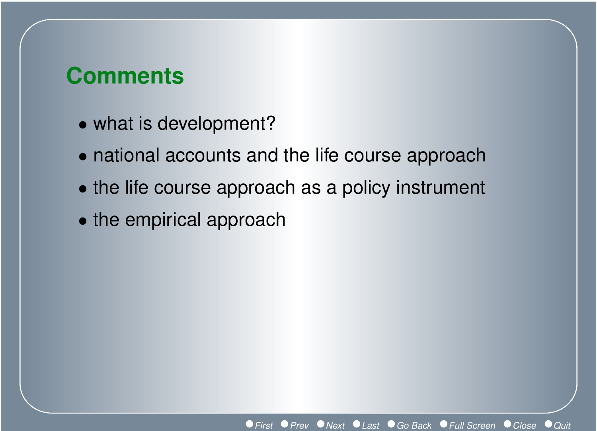# **Comments**

- what is development?
- national accounts and the life course approach
- the life course approach as a policy instrument
- the empirical approach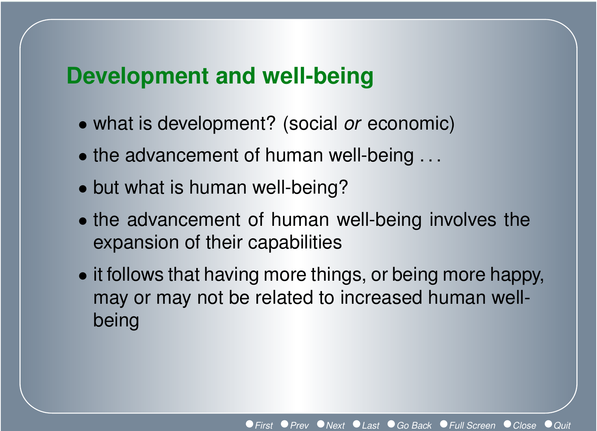# **Development and well-being**

- what is development? (social *or* economic)
- the advancement of human well-being ...
- but what is human well-being?
- the advancement of human well-being involves the expansion of their capabilities
- it follows that having more things, or being more happy, may or may not be related to increased human wellbeing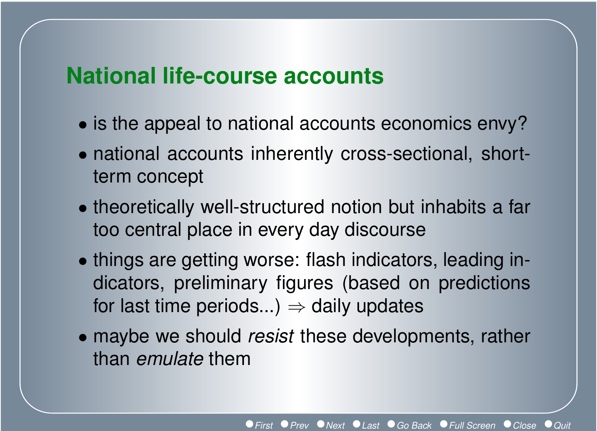# **National life-course accounts**

- is the appeal to national accounts economics envy?
- national accounts inherently cross-sectional, shortterm concept
- theoretically well-structured notion but inhabits a far too central place in every day discourse
- things are getting worse: flash indicators, leading indicators, preliminary figures (based on predictions for last time periods...)  $\Rightarrow$  daily updates
- maybe we should *resist* these developments, rather than *emulate* them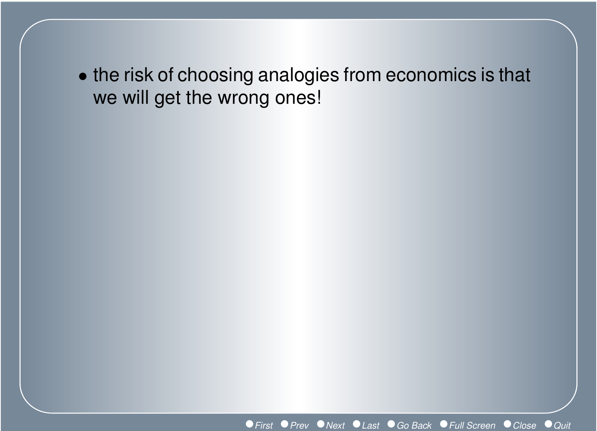• the risk of choosing analogies from economics is that we will get the wrong ones!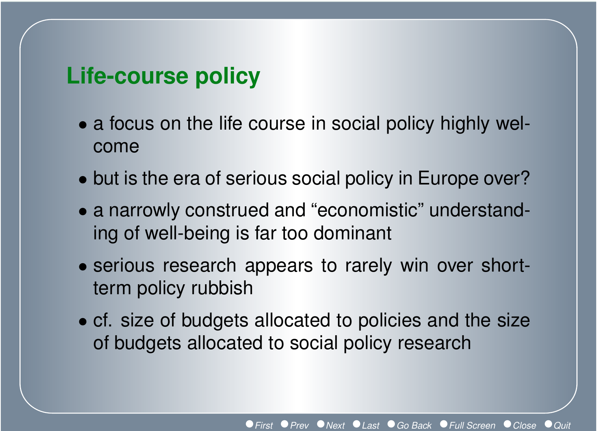### **Life-course policy**

- a focus on the life course in social policy highly welcome
- but is the era of serious social policy in Europe over?
- a narrowly construed and "economistic" understanding of well-being is far too dominant
- serious research appears to rarely win over shortterm policy rubbish
- cf. size of budgets allocated to policies and the size of budgets allocated to social policy research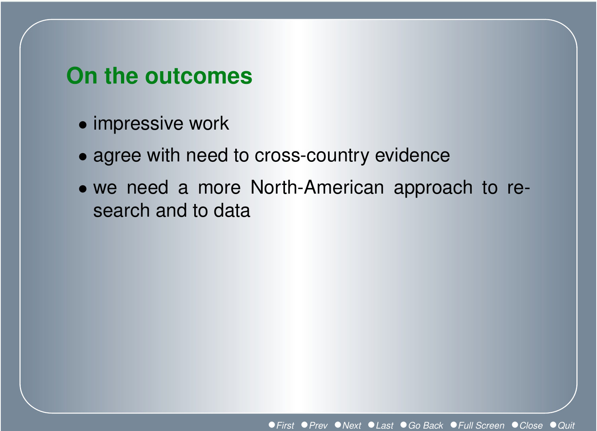# **On the outcomes**

- impressive work
- agree with need to cross-country evidence
- we need a more North-American approach to research and to data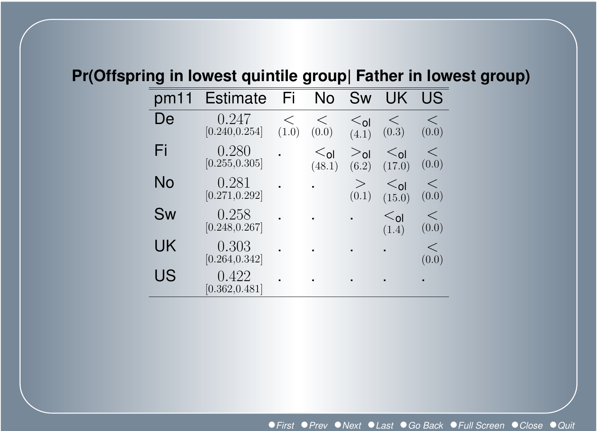#### **Pr(Offspring in lowest quintile group| Father in lowest group)**

| pm1 | <b>Estimate</b>         | Fi             | No                             | <b>Sw</b>                     | UK.                            | US             |
|-----|-------------------------|----------------|--------------------------------|-------------------------------|--------------------------------|----------------|
| De  | 0.247<br>[0.240, 0.254] | $\lt$<br>(1.0) | $\lt$<br>(0.0)                 | $\leq_{\mathsf{ol}}$<br>(4.1) | $\lt$<br>(0.3)                 | $\lt$<br>(0.0) |
| Fi  | 0.280<br>[0.255, 0.305] |                | $\leq_{\mathsf{ol}}$<br>(48.1) | $>_{0}$<br>(6.2)              | $\leq_{\mathsf{ol}}$<br>(17.0) | <<br>(0.0)     |
| No  | 0.281<br>[0.271, 0.292] |                |                                | $\geq$<br>(0.1)               | $\leq_{\mathsf{ol}}$<br>(15.0) | <<br>(0.0)     |
| Sw  | 0.258<br>[0.248, 0.267] |                |                                |                               | $\leq_{\mathsf{ol}}$<br>(1.4)  | $\lt$<br>(0.0) |
| UK  | 0.303<br>[0.264, 0.342] |                |                                |                               |                                | <<br>(0.0)     |
| US  | 0.422<br>[0.362, 0.481] |                |                                |                               |                                |                |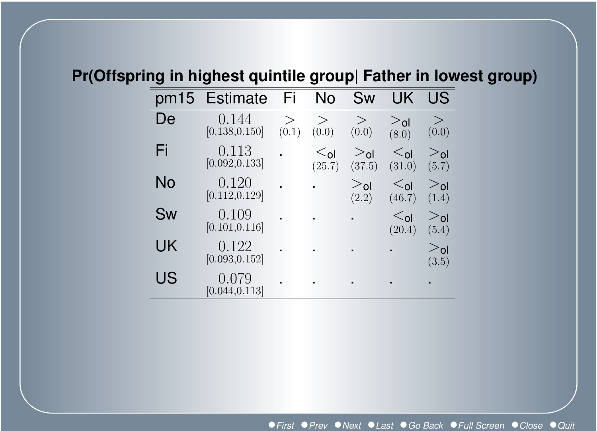#### **Pr(Offspring in highest quintile group| Father in lowest group)**

| pm15 | <b>Estimate</b>         | Fi              | No              | Sw                        | UK                             | US                       |
|------|-------------------------|-----------------|-----------------|---------------------------|--------------------------------|--------------------------|
| De   | 0.144<br>[0.138, 0.150] | $\geq$<br>(0.1) | $\geq$<br>(0.0) | $\geq$<br>(0.0)           | $>_{\mathsf{ol}}$<br>(8.0)     | $\geq$<br>(0.0)          |
| Fi   | 0.113<br>[0.092, 0.133] |                 | $ol$<br>(25.7)  | $>_{\text{ol}}$<br>(37.5) | $\leq_{\mathsf{ol}}$<br>(31.0) | $>_{0}$<br>(5.7)         |
| No   | 0.120<br>[0.112, 0.129] |                 |                 | $>_{\text{ol}}$<br>(2.2)  | $\leq_{\mathsf{ol}}$<br>(46.7) | $>_{0}$<br>(1.4)         |
| Sw   | 0.109<br>[0.101, 0.116] |                 |                 | ٠                         | $\leq_{\mathsf{ol}}$<br>(20.4) | $>_{0}$<br>(5.4)         |
| UK   | 0.122<br>[0.093, 0.152] |                 |                 |                           |                                | $>_{\text{ol}}$<br>(3.5) |
| US   | 0.079<br>[0.044, 0.113] |                 |                 |                           |                                |                          |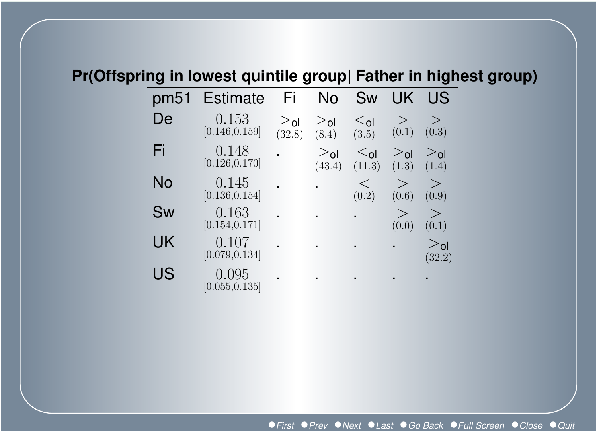#### **Pr(Offspring in lowest quintile group| Father in highest group)**

| pm51 | <b>Estimate</b>         | Fi                | No                        | Sw                             | UK                       | US                        |
|------|-------------------------|-------------------|---------------------------|--------------------------------|--------------------------|---------------------------|
| De   | 0.153<br>[0.146, 0.159] | $>_{0}$<br>(32.8) | $>_{0}$<br>(8.4)          | $\leq_{\mathsf{ol}}$<br>(3.5)  | ><br>(0.1)               | ><br>(0.3)                |
| Fi   | 0.148<br>[0.126, 0.170] |                   | $>_{\text{ol}}$<br>(43.4) | $\leq_{\mathsf{ol}}$<br>(11.3) | $>_{\text{ol}}$<br>(1.3) | $>_{\text{ol}}$<br>(1.4)  |
| No   | 0.145<br>[0.136, 0.154] |                   |                           | $\lt$<br>(0.2)                 | $\geq$<br>(0.6)          | $\rm{>}$<br>(0.9)         |
| Sw   | 0.163<br>[0.154, 0.171] |                   |                           | $\blacksquare$                 | $\geq$<br>(0.0)          | $\geq$<br>(0.1)           |
| UK   | 0.107<br>[0.079, 0.134] |                   |                           |                                |                          | $>_{\text{ol}}$<br>(32.2) |
| US   | 0.095<br>[0.055, 0.135] |                   |                           | ٠                              |                          |                           |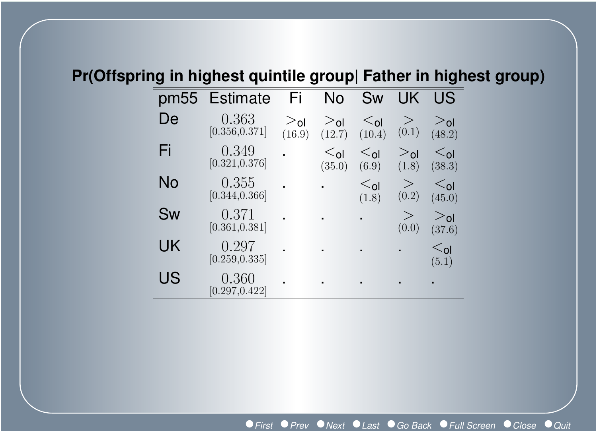#### **Pr(Offspring in highest quintile group| Father in highest group)**

| pm55 | <b>Estimate</b>         | Fi                | No                             | Sw                             | UK               | US                             |
|------|-------------------------|-------------------|--------------------------------|--------------------------------|------------------|--------------------------------|
| De   | 0.363<br>[0.356, 0.371] | $>_{0}$<br>(16.9) | $>_{\text{ol}}$<br>(12.7)      | $\leq_{\mathsf{ol}}$<br>(10.4) | ><br>(0.1)       | $>_{0}$<br>(48.2)              |
| Fi   | 0.349<br>[0.321, 0.376] |                   | $\leq_{\mathsf{ol}}$<br>(35.0) | $\leq_{\mathsf{ol}}$<br>(6.9)  | $>_{0}$<br>(1.8) | $\leq_{\mathsf{Q}}$<br>(38.3)  |
| No   | 0.355<br>[0.344, 0.366] |                   |                                | $ol$<br>(1.8)                  | $\geq$<br>(0.2)  | $\leq$ <sub>ol</sub><br>(45.0) |
| Sw   | 0.371<br>[0.361, 0.381] |                   |                                |                                | ><br>(0.0)       | $>_{\text{ol}}$<br>(37.6)      |
| UK   | 0.297<br>[0.259, 0.335] |                   | $\blacksquare$                 | $\blacksquare$                 | $\blacksquare$   | $\leq$ ol<br>(5.1)             |
| US   | 0.360<br>[0.297, 0.422] |                   |                                |                                |                  |                                |